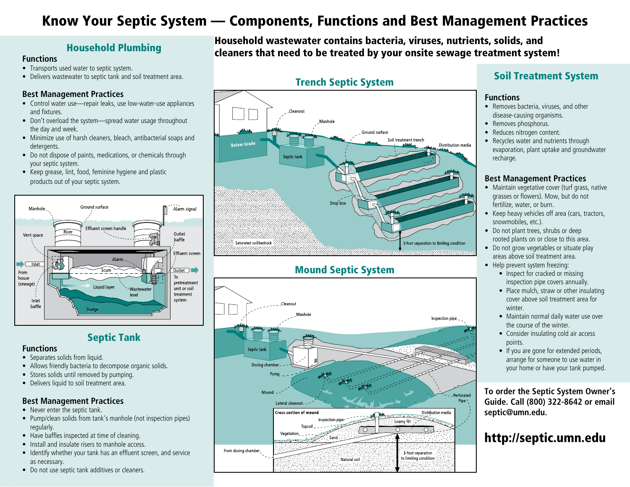# Know Your Septic System — Components, Functions and Best Management Practices

#### **Functions**

- Transports used water to septic system.
- Delivers wastewater to septic tank and soil treatment area.

#### **Best Management Practices**

- Control water use—repair leaks, use low-water-use appliances and fixtures.
- Don't overload the system—spread water usage throughout the day and week.
- Minimize use of harsh cleaners, bleach, antibacterial soaps and detergents.
- Do not dispose of paints, medications, or chemicals through your septic system.
- Keep grease, lint, food, feminine hygiene and plastic products out of your septic system.



## Septic Tank

#### **Functions**

- Separates solids from liquid.
- Allows friendly bacteria to decompose organic solids.
- Stores solids until removed by pumping.
- Delivers liquid to soil treatment area.

## **Best Management Practices**

- Never enter the septic tank.
- Pump/clean solids from tank's manhole (not inspection pipes) regularly.
- Have baffles inspected at time of cleaning.
- Install and insulate risers to manhole access.
- Identify whether your tank has an effluent screen, and service as necessary.
- Do not use septic tank additives or cleaners.

Household wastewater contains bacteria, viruses, nutrients, solids, and cleaners that need to be treated by your onsite sewage treatment system! Household Plumbing

# Trench Septic System



# Mound Septic System



# Soil Treatment System

#### **Functions**

- Removes bacteria, viruses, and other disease-causing organisms.
- Removes phosphorus.
- Reduces nitrogen content.
- Recycles water and nutrients through evaporation, plant uptake and groundwater recharge.

### **Best Management Practices**

- Maintain vegetative cover (turf grass, native grasses or flowers). Mow, but do not fertilize, water, or burn.
- Keep heavy vehicles off area (cars, tractors, snowmobiles, etc.).
- Do not plant trees, shrubs or deep rooted plants on or close to this area.
- Do not grow vegetables or situate play areas above soil treatment area.
- Help prevent system freezing: • Inspect for cracked or missing
	- inspection pipe covers annually.
	- Place mulch, straw or other insulating cover above soil treatment area for winter.
	- Maintain normal daily water use over the course of the winter.
	- Consider insulating cold air access points.
	- If you are gone for extended periods, arrange for someone to use water in your home or have your tank pumped.

**To order the Septic System Owner's Guide. Call (800) 322-8642 or email septic@umn.edu.**

# http://septic.umn.edu